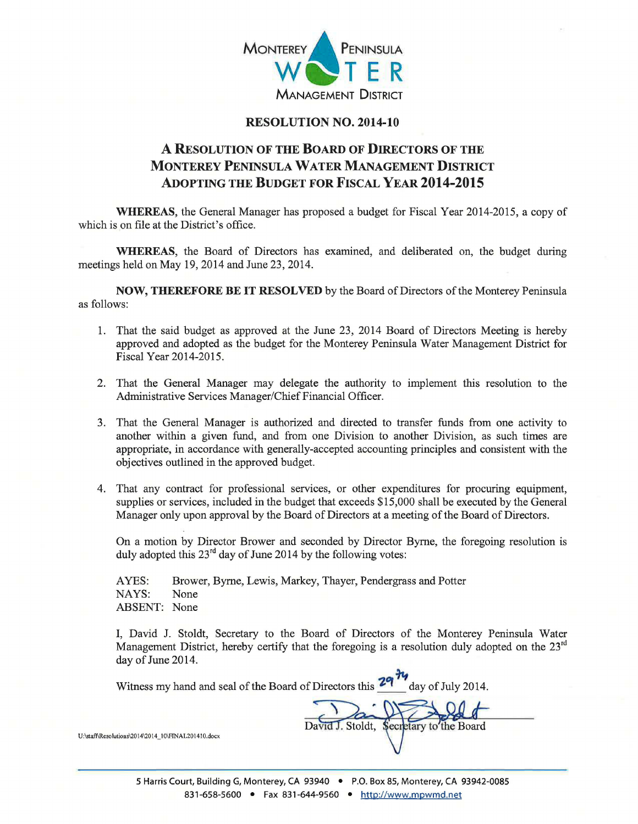

## RESOLUTION NO. 2014-10

## A RESOLUTION OF THE BOARD OF DIRECTORS OF THE MONTEREY PENINSULA WATER MANAGEMENT DISTRICT ADOPTING THE BUDGET FOR FISCAL YEAR 2014-2015

WHEREAS, the General Manager has proposed a budget for Fiscal Year 2014-2015, a copy of which is on file at the District's office.

WHEREAS, the Board of Directors has examined, and deliberated on, the budget during meetings held on May 19,2014 and June 23,2014.

NOW, THEREFORE BE IT RESOLVED by the Board of Directors of the Monterey Peninsula as follows:

- 1. That the said budget as approved at the June 23, 2014 Board of Directors Meeting is hereby approved and adopted as the budget for the Monterey Peninsula Water Management District for Fiscal Year 2014-2015.
- 2. That the General Manager may delegate the authority to implement this resolution to the Administrative Services Manager/Chief Financial Officer.
- 3. That the General Manager is authorized and directed to transfer funds from one activity to another within a given fund, and from one Division to another Division, as such times are appropriate, in accordance with generally-accepted accounting principles and consistent with the obj ectives outlined in the approved budget.
- 4. That any contract for professional services, or other expenditures for procuring equipment, supplies or services, included in the budget that exceeds \$15,000 shall be executed by the General Manager only upon approval by the Board of Directors at a meeting of the Board of Directors.

On a motion by Director Brower and seconded by Director Byrne, the foregoing resolution is duly adopted this  $23<sup>rd</sup>$  day of June 2014 by the following votes:

AYES: Brower, Byrne, Lewis, Markey, Thayer, Pendergrass and Potter NAYS: None ABSENT: None

I, David J. Stoldt, Secretary to the Board of Directors of the Monterey Peninsula Water Management District, hereby certify that the foregoing is a resolution duly adopted on the  $23<sup>rd</sup>$ day of June 2014.

Witness my hand and seal of the Board of Directors this  $\frac{29}{\gamma}$  day of July 2014.

J. Stoldt, Secretary to the Board

U:\staff\Resolutions\2014\2014\_10\FINAL201410\_docx